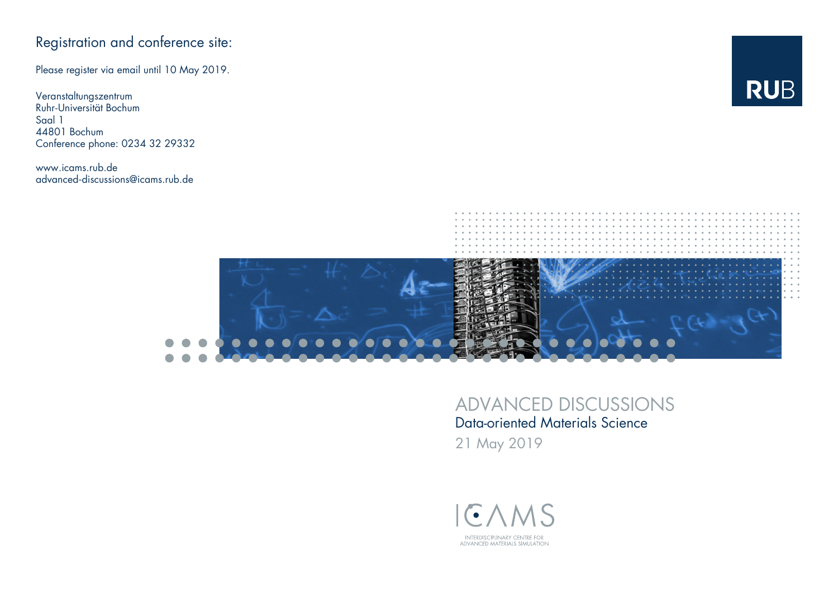## Registration and conference site:

Please register via email until 10 May 2019.

Veranstaltungszentrum Ruhr-Universität Bochum Saal 1 44801 Bochum Conference phone: 0234 32 29332

www.icams.rub.de advanced-discussions@icams.rub.de





## ADVANCED DISCUSSIONS Data-oriented Materials Science

21 May 2019